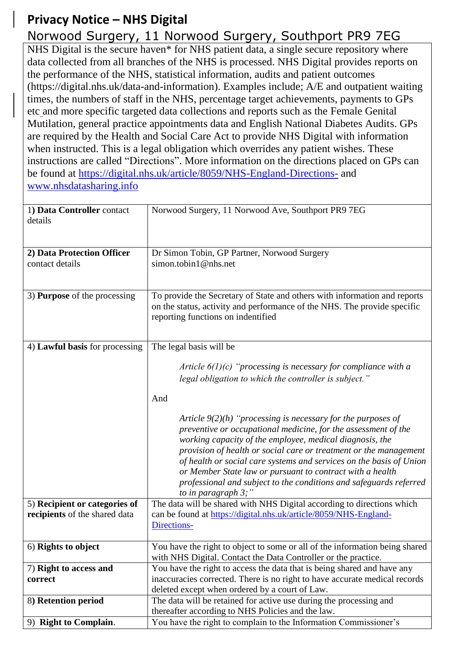## **Privacy Notice – NHS Digital**

## Norwood Surgery, 11 Norwood Surgery, Southport PR9 7EG

NHS Digital is the secure haven\* for NHS patient data, a single secure repository where data collected from all branches of the NHS is processed. NHS Digital provides reports on the performance of the NHS, statistical information, audits and patient outcomes (https://digital.nhs.uk/data-and-information). Examples include; A/E and outpatient waiting times, the numbers of staff in the NHS, percentage target achievements, payments to GPs etc and more specific targeted data collections and reports such as the Female Genital Mutilation, general practice appointments data and English National Diabetes Audits. GPs are required by the Health and Social Care Act to provide NHS Digital with information when instructed. This is a legal obligation which overrides any patient wishes. These instructions are called "Directions". More information on the directions placed on GPs can be found at <https://digital.nhs.uk/article/8059/NHS-England-Directions-> and [www.nhsdatasharing.info](http://www.nhsdatasharing.info/)

| 1) Data Controller contact<br>details | Norwood Surgery, 11 Norwood Ave, Southport PR9 7EG                                                                                                                                                                                                                                                                                                                                                                                                                                                    |
|---------------------------------------|-------------------------------------------------------------------------------------------------------------------------------------------------------------------------------------------------------------------------------------------------------------------------------------------------------------------------------------------------------------------------------------------------------------------------------------------------------------------------------------------------------|
| 2) Data Protection Officer            | Dr Simon Tobin, GP Partner, Norwood Surgery                                                                                                                                                                                                                                                                                                                                                                                                                                                           |
| contact details                       | simon.tobin1@nhs.net                                                                                                                                                                                                                                                                                                                                                                                                                                                                                  |
|                                       |                                                                                                                                                                                                                                                                                                                                                                                                                                                                                                       |
| 3) <b>Purpose</b> of the processing   | To provide the Secretary of State and others with information and reports                                                                                                                                                                                                                                                                                                                                                                                                                             |
|                                       | on the status, activity and performance of the NHS. The provide specific                                                                                                                                                                                                                                                                                                                                                                                                                              |
|                                       | reporting functions on indentified                                                                                                                                                                                                                                                                                                                                                                                                                                                                    |
|                                       |                                                                                                                                                                                                                                                                                                                                                                                                                                                                                                       |
|                                       |                                                                                                                                                                                                                                                                                                                                                                                                                                                                                                       |
| 4) Lawful basis for processing        | The legal basis will be                                                                                                                                                                                                                                                                                                                                                                                                                                                                               |
|                                       | Article $6(1)(c)$ "processing is necessary for compliance with a                                                                                                                                                                                                                                                                                                                                                                                                                                      |
|                                       |                                                                                                                                                                                                                                                                                                                                                                                                                                                                                                       |
|                                       | legal obligation to which the controller is subject."                                                                                                                                                                                                                                                                                                                                                                                                                                                 |
|                                       | And                                                                                                                                                                                                                                                                                                                                                                                                                                                                                                   |
|                                       | Article $9(2)(h)$ "processing is necessary for the purposes of<br>preventive or occupational medicine, for the assessment of the<br>working capacity of the employee, medical diagnosis, the<br>provision of health or social care or treatment or the management<br>of health or social care systems and services on the basis of Union<br>or Member State law or pursuant to contract with a health<br>professional and subject to the conditions and safeguards referred<br>to in paragraph $3$ ;" |
| 5) Recipient or categories of         | The data will be shared with NHS Digital according to directions which                                                                                                                                                                                                                                                                                                                                                                                                                                |
| recipients of the shared data         | can be found at https://digital.nhs.uk/article/8059/NHS-England-                                                                                                                                                                                                                                                                                                                                                                                                                                      |
|                                       | Directions-                                                                                                                                                                                                                                                                                                                                                                                                                                                                                           |
|                                       |                                                                                                                                                                                                                                                                                                                                                                                                                                                                                                       |
| 6) Rights to object                   | You have the right to object to some or all of the information being shared                                                                                                                                                                                                                                                                                                                                                                                                                           |
|                                       | with NHS Digital. Contact the Data Controller or the practice.                                                                                                                                                                                                                                                                                                                                                                                                                                        |
| 7) Right to access and                | You have the right to access the data that is being shared and have any                                                                                                                                                                                                                                                                                                                                                                                                                               |
| correct                               | inaccuracies corrected. There is no right to have accurate medical records                                                                                                                                                                                                                                                                                                                                                                                                                            |
|                                       | deleted except when ordered by a court of Law.                                                                                                                                                                                                                                                                                                                                                                                                                                                        |
| 8) Retention period                   | The data will be retained for active use during the processing and                                                                                                                                                                                                                                                                                                                                                                                                                                    |
|                                       | thereafter according to NHS Policies and the law.                                                                                                                                                                                                                                                                                                                                                                                                                                                     |
| 9) Right to Complain.                 | You have the right to complain to the Information Commissioner's                                                                                                                                                                                                                                                                                                                                                                                                                                      |